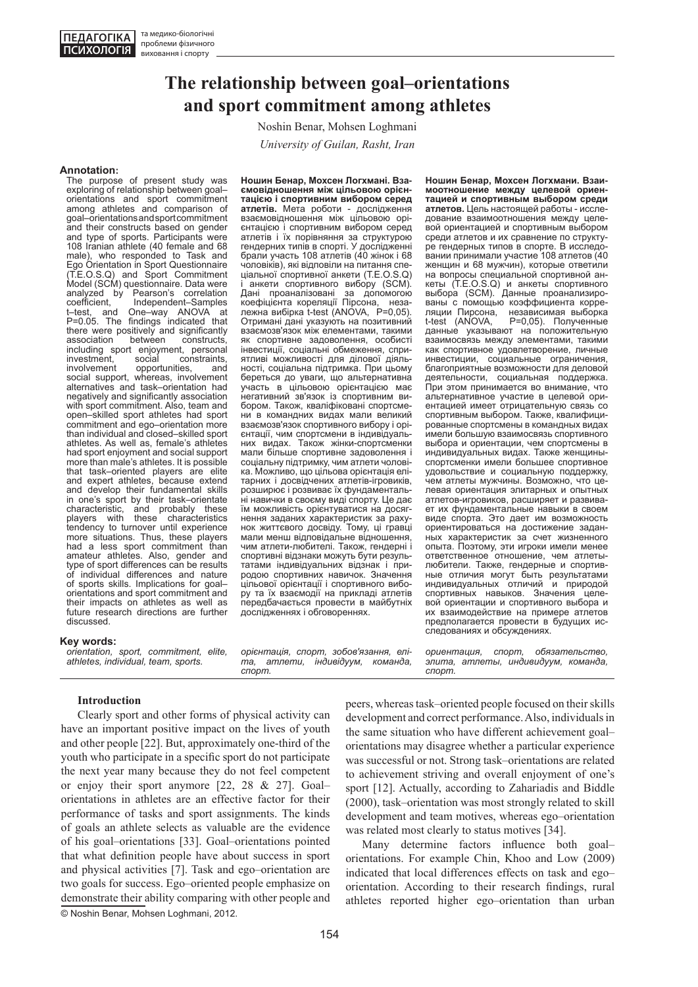# **The relationship between goal–orientations and sport commitment among athletes**

Noshin Benar, Mohsen Loghmani

*University of Guilan, Rasht, Iran*

#### **Annotation:**

The purpose of present study was exploring of relationship between goal– orientations and sport commitment among athletes and comparison of goal–orientations and sport commitment and their constructs based on gender and type of sports. Participants were 108 Iranian athlete (40 female and 68 male), who responded to Task and Ego Orientation in Sport Questionnaire (T.E.O.S.Q) and Sport Commitment Model (SCM) questionnaire. Data were analyzed by Pearson's correlation analyzed by Pearson's correlation<br>coefficient, Independent–Samples t–test, and One–way ANOVA at P=0.05. The findings indicated that there were positively and significantly<br>association between constructs, association including sport enjoyment, personal<br>investment, social constraints, investment, social constraints,<br>involvement opportunities, and opportunities, social support, whereas, involvement alternatives and task–orientation had negatively and significantly association with sport commitment. Also, team and open–skilled sport athletes had sport commitment and ego-orientation more than individual and closed–skilled sport athletes. As well as, female's athletes had sport enjoyment and social support more than male's athletes. It is possible that task–oriented players are elite and expert athletes, because extend and develop their fundamental skills in one's sport by their task–orientate<br>characteristic, and probably these characteristic, and probably these players with these characteristics tendency to turnover until experience more situations. Thus, these players had a less sport commitment than amateur athletes. Also, gender and type of sport differences can be results of individual differences and nature of sports skills. Implications for goal– orientations and sport commitment and their impacts on athletes as well as future research directions are further discussed.

**Ношин Бенар, Мохсен Логхмані. Взаємовідношення між цільовою орієнтацією і спортивним вибором серед атлетів.** Мета роботи - дослідження взаємовідношення між цільовою орієнтацією і спортивним вибором серед атлетів і їх порівняння за структурою гендерних типів в спорті. У дослідженні брали участь 108 атлетів (40 жінок і 68 чоловіків), які відповіли на питання спеціальної спортивної анкети (T.E.O.S.Q) і анкети спортивного вибору (SCM). Дані проаналізовані за допомогою коефіцієнта кореляції Пірсона, незалежна вибірка t-test (ANOVA, P=0,05). Отримані дані указують на позитивний взаємозв'язок між елементами, такими як спортивне задоволення, особисті інвестиції, соціальні обмеження, сприятливі можливості для ділової діяльності, соціальна підтримка. При цьому береться до уваги, що альтернативна участь в цільовою орієнтацією має негативний зв'язок із спортивним вибором. Також, кваліфіковані спортсмени в командних видах мали великий взаємозв'язок спортивного вибору і орієнтації, чим спортсмени в індивідуальних видах. Також жінки-спортсменки мали більше спортивне задоволення і соціальну підтримку, чим атлети чоловіка. Можливо, що цільова орієнтація елітарних і досвідчених атлетів-ігровиків, розширює і розвиває їх фундаментальні навички в своєму виді спорту. Це дає їм можливість орієнтуватися на досягнення заданих характеристик за рахунок життєвого досвіду. Тому, ці гравці мали менш відповідальне відношення, чим атлети-любителі. Також, гендерні і спортивні відзнаки можуть бути результатами індивідуальних відзнак і природою спортивних навичок. Значення цільової орієнтації і спортивного вибору та їх взаємодії на прикладі атлетів передбачається провести в майбутніх дослідженнях і обговореннях.

**Ношин Бенар, Мохсен Логхмани. Взаимоотношение между целевой ориентацией и спортивным выбором среди атлетов.** Цель настоящей работы - исследование взаимоотношения между целевой ориентацией и спортивным выбором среди атлетов и их сравнение по структуре гендерных типов в спорте. В исследовании принимали участие 108 атлетов (40 женщин и 68 мужчин), которые ответили на вопросы специальной спортивной анкеты (T.E.O.S.Q) и анкеты спортивного выбора (SCM). Данные проанализированы с помощью коэффициента корре-<br>пяции Пирсона, независимая выборка ляции Пирсона, независимая выборка t-test (ANOVA, P=0,05). Полученные данные указывают на положительную взаимосвязь между элементами, такими как спортивное удовлетворение, личные инвестиции, социальные ограничения, благоприятные возможности для деловой деятельности, социальная поддержка. При этом принимается во внимание, что альтернативное участие в целевой ориентацией имеет отрицательную связь со спортивным выбором. Также, квалифицированные спортсмены в командных видах имели большую взаимосвязь спортивного выбора и ориентации, чем спортсмены в индивидуальных видах. Также женщиныспортсменки имели большее спортивное удовольствие и социальную поддержку, чем атлеты мужчины. Возможно, что целевая ориентация элитарных и опытных атлетов-игровиков, расширяет и развивает их фундаментальные навыки в своем виде спорта. Это дает им возможность ориентироваться на достижение заданных характеристик за счет жизненного опыта. Поэтому, эти игроки имели менее ответственное отношение, чем атлетылюбители. Также, гендерные и спортивные отличия могут быть результатами индивидуальных отличий и природой спортивных навыков. Значения целевой ориентации и спортивного выбора и их взаимодействие на примере атлетов предполагается провести в будущих исследованиях и обсуждениях.

#### **Key words:**

*orientation, sport, commitment, elite, athletes, individual, team, sports.*

*орієнтація, спорт, зобов'язання, еліта, атлети, індивідуум, команда, спорт.*

*ориентация, спорт, обязательство, элита, атлеты, индивидуум, команда, спорт.*

peers, whereas task–oriented people focused on their skills development and correct performance. Also, individuals in the same situation who have different achievement goal– orientations may disagree whether a particular experience was successful or not. Strong task–orientations are related to achievement striving and overall enjoyment of one's sport [12]. Actually, according to Zahariadis and Biddle (2000), task–orientation was most strongly related to skill development and team motives, whereas ego–orientation

was related most clearly to status motives [34].

Many determine factors influence both goal– orientations. For example Chin, Khoo and Low (2009) indicated that local differences effects on task and ego– orientation. According to their research findings, rural

## **Introduction**

Clearly sport and other forms of physical activity can have an important positive impact on the lives of youth and other people [22]. But, approximately one-third of the youth who participate in a specific sport do not participate the next year many because they do not feel competent or enjoy their sport anymore [22, 28 & 27]. Goal– orientations in athletes are an effective factor for their performance of tasks and sport assignments. The kinds of goals an athlete selects as valuable are the evidence of his goal–orientations [33]. Goal–orientations pointed that what definition people have about success in sport and physical activities [7]. Task and ego–orientation are two goals for success. Ego–oriented people emphasize on demonstrate their ability comparing with other people and © Noshin Benar, Mohsen Loghmani, 2012.

athletes reported higher ego–orientation than urban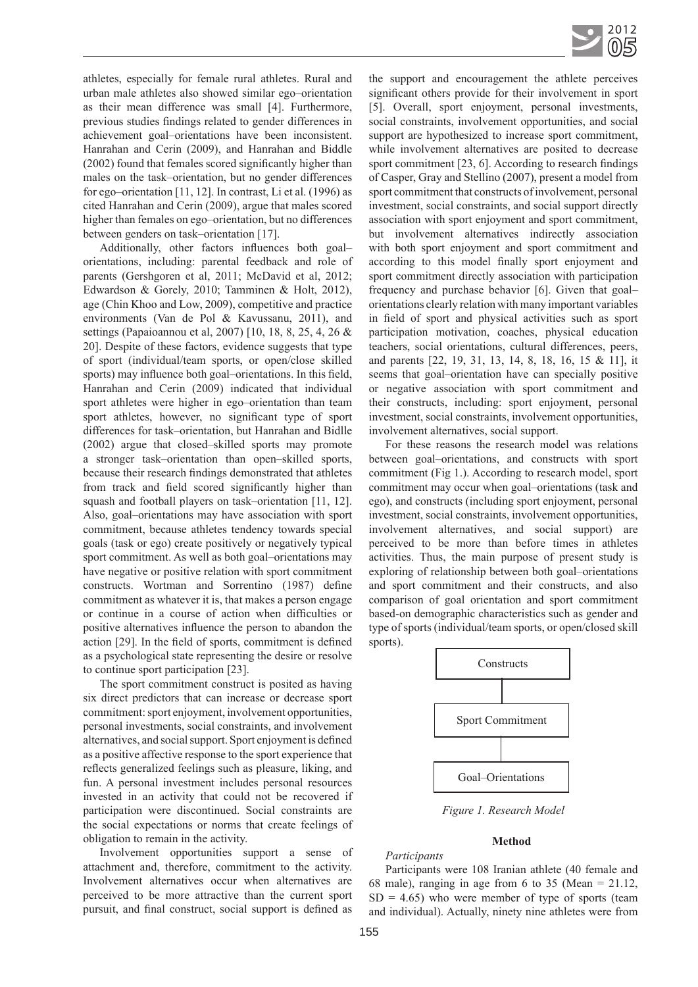

athletes, especially for female rural athletes. Rural and urban male athletes also showed similar ego–orientation as their mean difference was small [4]. Furthermore, previous studies findings related to gender differences in achievement goal–orientations have been inconsistent. Hanrahan and Cerin (2009), and Hanrahan and Biddle (2002) found that females scored significantly higher than males on the task–orientation, but no gender differences for ego–orientation [11, 12]. In contrast, Li et al. (1996) as cited Hanrahan and Cerin (2009), argue that males scored higher than females on ego–orientation, but no differences between genders on task–orientation [17].

Additionally, other factors influences both goal– orientations, including: parental feedback and role of parents (Gershgoren et al, 2011; McDavid et al, 2012; Edwardson & Gorely, 2010; Tamminen & Holt, 2012), age (Chin Khoo and Low, 2009), competitive and practice environments (Van de Pol & Kavussanu, 2011), and settings (Papaioannou et al, 2007) [10, 18, 8, 25, 4, 26 & 20]. Despite of these factors, evidence suggests that type of sport (individual/team sports, or open/close skilled sports) may influence both goal–orientations. In this field, Hanrahan and Cerin (2009) indicated that individual sport athletes were higher in ego–orientation than team sport athletes, however, no significant type of sport differences for task–orientation, but Hanrahan and Bidlle (2002) argue that closed–skilled sports may promote a stronger task–orientation than open–skilled sports, because their research findings demonstrated that athletes from track and field scored significantly higher than squash and football players on task–orientation [11, 12]. Also, goal–orientations may have association with sport commitment, because athletes tendency towards special goals (task or ego) create positively or negatively typical sport commitment. As well as both goal–orientations may have negative or positive relation with sport commitment constructs. Wortman and Sorrentino (1987) define commitment as whatever it is, that makes a person engage or continue in a course of action when difficulties or positive alternatives influence the person to abandon the action [29]. In the field of sports, commitment is defined as a psychological state representing the desire or resolve to continue sport participation [23].

The sport commitment construct is posited as having six direct predictors that can increase or decrease sport commitment: sport enjoyment, involvement opportunities, personal investments, social constraints, and involvement alternatives, and social support. Sport enjoyment is defined as a positive affective response to the sport experience that reflects generalized feelings such as pleasure, liking, and fun. A personal investment includes personal resources invested in an activity that could not be recovered if participation were discontinued. Social constraints are the social expectations or norms that create feelings of obligation to remain in the activity.

Involvement opportunities support a sense of attachment and, therefore, commitment to the activity. Involvement alternatives occur when alternatives are perceived to be more attractive than the current sport pursuit, and final construct, social support is defined as

the support and encouragement the athlete perceives significant others provide for their involvement in sport [5]. Overall, sport enjoyment, personal investments, social constraints, involvement opportunities, and social support are hypothesized to increase sport commitment, while involvement alternatives are posited to decrease sport commitment [23, 6]. According to research findings of Casper, Gray and Stellino (2007), present a model from sport commitment that constructs of involvement, personal investment, social constraints, and social support directly association with sport enjoyment and sport commitment, but involvement alternatives indirectly association with both sport enjoyment and sport commitment and according to this model finally sport enjoyment and sport commitment directly association with participation frequency and purchase behavior [6]. Given that goal– orientations clearly relation with many important variables in field of sport and physical activities such as sport participation motivation, coaches, physical education teachers, social orientations, cultural differences, peers, and parents [22, 19, 31, 13, 14, 8, 18, 16, 15 & 11], it seems that goal–orientation have can specially positive or negative association with sport commitment and their constructs, including: sport enjoyment, personal investment, social constraints, involvement opportunities, involvement alternatives, social support.

For these reasons the research model was relations between goal–orientations, and constructs with sport commitment (Fig 1.). According to research model, sport commitment may occur when goal–orientations (task and ego), and constructs (including sport enjoyment, personal investment, social constraints, involvement opportunities, involvement alternatives, and social support) are perceived to be more than before times in athletes activities. Thus, the main purpose of present study is exploring of relationship between both goal–orientations and sport commitment and their constructs, and also comparison of goal orientation and sport commitment based-on demographic characteristics such as gender and type of sports (individual/team sports, or open/closed skill sports).



*Figure 1. Research Model*

## **Method**

Participants were 108 Iranian athlete (40 female and 68 male), ranging in age from 6 to 35 (Mean  $= 21.12$ ,  $SD = 4.65$ ) who were member of type of sports (team and individual). Actually, ninety nine athletes were from

*Participants*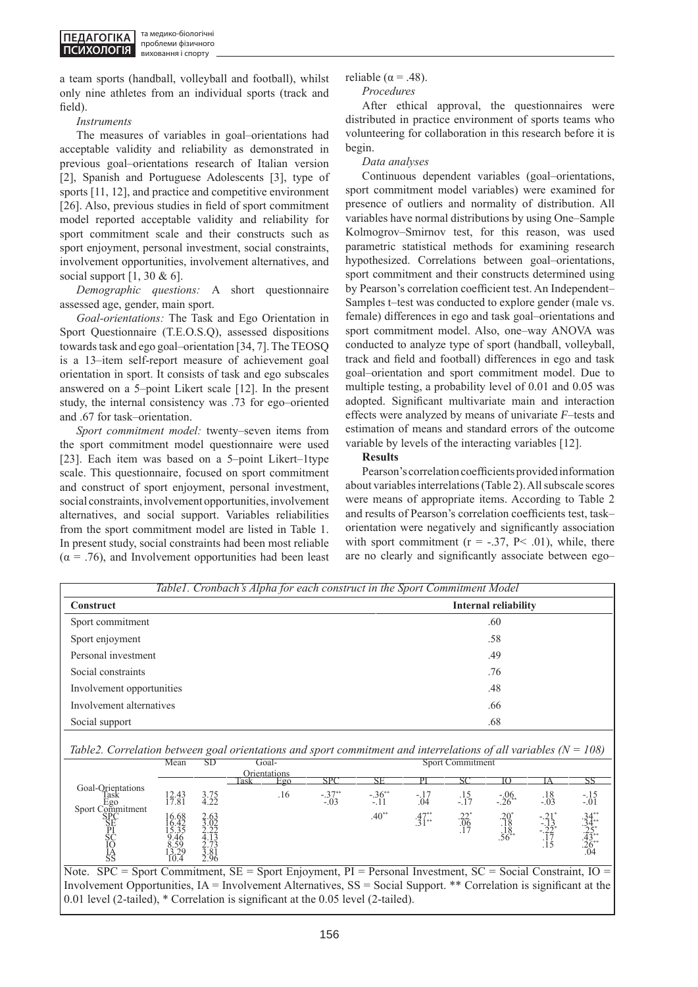a team sports (handball, volleyball and football), whilst only nine athletes from an individual sports (track and field).

*Instruments*

The measures of variables in goal–orientations had acceptable validity and reliability as demonstrated in previous goal–orientations research of Italian version [2], Spanish and Portuguese Adolescents [3], type of sports [11, 12], and practice and competitive environment [26]. Also, previous studies in field of sport commitment model reported acceptable validity and reliability for sport commitment scale and their constructs such as sport enjoyment, personal investment, social constraints, involvement opportunities, involvement alternatives, and social support  $[1, 30 & 6]$ .

*Demographic questions:* A short questionnaire assessed age, gender, main sport.

*Goal-orientations:* The Task and Ego Orientation in Sport Questionnaire (T.E.O.S.Q), assessed dispositions towards task and ego goal–orientation [34, 7]. The TEOSQ is a 13–item self-report measure of achievement goal orientation in sport. It consists of task and ego subscales answered on a 5–point Likert scale [12]. In the present study, the internal consistency was .73 for ego–oriented and .67 for task–orientation.

*Sport commitment model:* twenty–seven items from the sport commitment model questionnaire were used [23]. Each item was based on a 5–point Likert–1type scale. This questionnaire, focused on sport commitment and construct of sport enjoyment, personal investment, social constraints, involvement opportunities, involvement alternatives, and social support. Variables reliabilities from the sport commitment model are listed in Table 1. In present study, social constraints had been most reliable  $(\alpha = .76)$ , and Involvement opportunities had been least reliable ( $\alpha$  = .48).

*Procedures*

After ethical approval, the questionnaires were distributed in practice environment of sports teams who volunteering for collaboration in this research before it is begin.

*Data analyses*

Continuous dependent variables (goal–orientations, sport commitment model variables) were examined for presence of outliers and normality of distribution. All variables have normal distributions by using One–Sample Kolmogrov–Smirnov test, for this reason, was used parametric statistical methods for examining research hypothesized. Correlations between goal–orientations, sport commitment and their constructs determined using by Pearson's correlation coefficient test. An Independent– Samples t–test was conducted to explore gender (male vs. female) differences in ego and task goal–orientations and sport commitment model. Also, one–way ANOVA was conducted to analyze type of sport (handball, volleyball, track and field and football) differences in ego and task goal–orientation and sport commitment model. Due to multiple testing, a probability level of 0.01 and 0.05 was adopted. Significant multivariate main and interaction effects were analyzed by means of univariate *F*–tests and estimation of means and standard errors of the outcome variable by levels of the interacting variables [12].

### **Results**

Pearson's correlation coefficients provided information about variables interrelations (Table 2). All subscale scores were means of appropriate items. According to Table 2 and results of Pearson's correlation coefficients test, task– orientation were negatively and significantly association with sport commitment  $(r = -.37, P < .01)$ , while, there are no clearly and significantly associate between ego–

| Table1. Cronbach's Alpha for each construct in the Sport Commitment Model |                             |  |  |  |  |
|---------------------------------------------------------------------------|-----------------------------|--|--|--|--|
| <b>Construct</b>                                                          | <b>Internal reliability</b> |  |  |  |  |
| Sport commitment                                                          | .60                         |  |  |  |  |
| Sport enjoyment                                                           | .58                         |  |  |  |  |
| Personal investment                                                       | .49                         |  |  |  |  |
| Social constraints                                                        | .76                         |  |  |  |  |
| Involvement opportunities                                                 | .48                         |  |  |  |  |
| Involvement alternatives                                                  | .66                         |  |  |  |  |
| Social support                                                            | .68                         |  |  |  |  |

*Table2. Correlation between goal orientations and sport commitment and interrelations of all variables (N = 108)*

|                                                                | Mean                                                      | $_{\rm SD}$       | Goal-               | <b>Sport Commitment</b>  |                      |                                        |                                |                         |                                       |               |
|----------------------------------------------------------------|-----------------------------------------------------------|-------------------|---------------------|--------------------------|----------------------|----------------------------------------|--------------------------------|-------------------------|---------------------------------------|---------------|
|                                                                |                                                           |                   | <b>Drientations</b> |                          |                      |                                        |                                |                         |                                       |               |
|                                                                |                                                           |                   | lask<br>- 20        |                          |                      |                                        |                                |                         |                                       |               |
| Goal-Orientations<br>Task<br>,Ego                              | 2.43<br> 7.81                                             | $\sim$<br><i></i> | .16                 | $27**$<br>- 1<br>$-0.03$ | $-.36**$<br>$-1.1.1$ | .04                                    | $-12$<br>$-1.1$                | 06                      | $\frac{.18}{-.03}$                    | - 01          |
| commitment<br>Spor <sup>+</sup><br>ŠPC<br>ŞĘ<br>õδ<br>IA<br>SS | 16.68<br>6.42<br>$\overline{\phantom{a}}$<br>2.20<br>10.4 | 2.63<br>2.96      |                     |                          | $.40**$              | $A \rightarrow$<br>.4'<br>$0.1**$<br>. | 22<br>$-66$<br>$\cdot$ $\cdot$ | $.20*$<br>$.56^{\circ}$ | $-.21*$<br>-<br>∙÷≒<br>$\cdot$ +<br>. | $34**$<br>.04 |

Note. SPC = Sport Commitment, SE = Sport Enjoyment, PI = Personal Investment, SC = Social Constraint, IO = Involvement Opportunities, IA = Involvement Alternatives, SS = Social Support. \*\* Correlation is significant at the 0.01 level (2-tailed), \* Correlation is significant at the 0.05 level (2-tailed).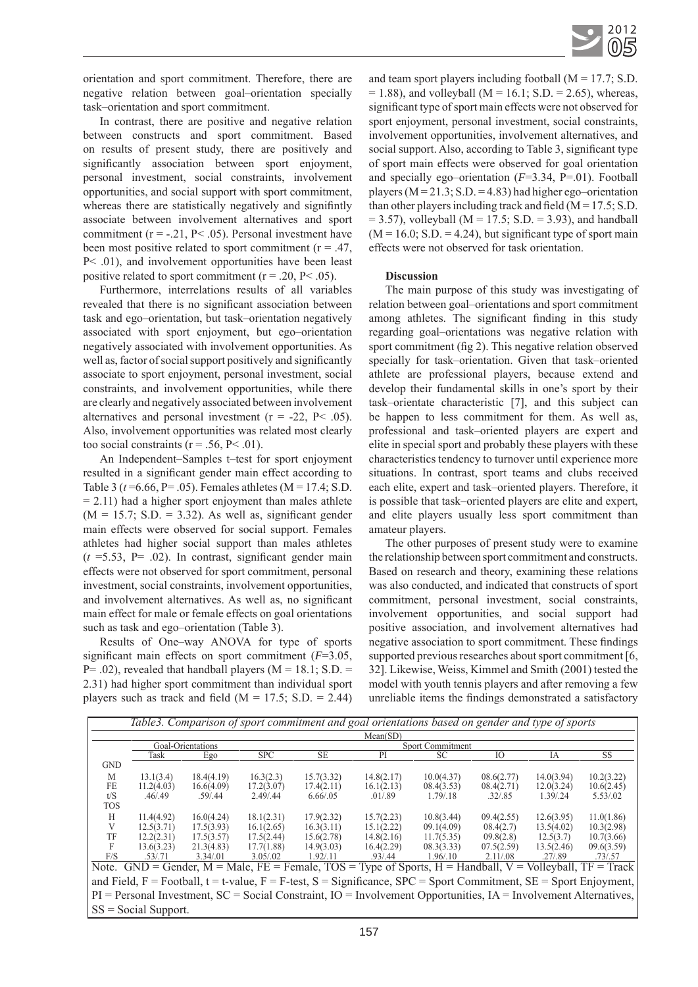

orientation and sport commitment. Therefore, there are negative relation between goal–orientation specially task–orientation and sport commitment.

In contrast, there are positive and negative relation between constructs and sport commitment. Based on results of present study, there are positively and significantly association between sport enjoyment, personal investment, social constraints, involvement opportunities, and social support with sport commitment, whereas there are statistically negatively and signifintly associate between involvement alternatives and sport commitment  $(r = -.21, P < .05)$ . Personal investment have been most positive related to sport commitment ( $r = .47$ , P< .01), and involvement opportunities have been least positive related to sport commitment ( $r = .20$ ,  $P < .05$ ).

Furthermore, interrelations results of all variables revealed that there is no significant association between task and ego–orientation, but task–orientation negatively associated with sport enjoyment, but ego–orientation negatively associated with involvement opportunities. As well as, factor of social support positively and significantly associate to sport enjoyment, personal investment, social constraints, and involvement opportunities, while there are clearly and negatively associated between involvement alternatives and personal investment ( $r = -22$ ,  $P < .05$ ). Also, involvement opportunities was related most clearly too social constraints ( $r = .56$ ,  $P < .01$ ).

An Independent–Samples t–test for sport enjoyment resulted in a significant gender main effect according to Table 3 (*t* =6.66, P= .05). Females athletes (M = 17.4; S.D.  $= 2.11$ ) had a higher sport enjoyment than males athlete  $(M = 15.7; S.D. = 3.32)$ . As well as, significant gender main effects were observed for social support. Females athletes had higher social support than males athletes  $(t = 5.53, P = .02)$ . In contrast, significant gender main effects were not observed for sport commitment, personal investment, social constraints, involvement opportunities, and involvement alternatives. As well as, no significant main effect for male or female effects on goal orientations such as task and ego–orientation (Table 3).

Results of One–way ANOVA for type of sports significant main effects on sport commitment (*F*=3.05,  $P=$  .02), revealed that handball players (M = 18.1; S.D. = 2.31) had higher sport commitment than individual sport players such as track and field ( $M = 17.5$ ; S.D. = 2.44) and team sport players including football  $(M = 17.7; S.D.$  $= 1.88$ ), and volleyball (M = 16.1; S.D. = 2.65), whereas, significant type of sport main effects were not observed for sport enjoyment, personal investment, social constraints, involvement opportunities, involvement alternatives, and social support. Also, according to Table 3, significant type of sport main effects were observed for goal orientation and specially ego–orientation (*F*=3.34, P=.01). Football players ( $M = 21.3$ ; S.D. = 4.83) had higher ego–orientation than other players including track and field  $(M = 17.5; S.D.$  $= 3.57$ ), volleyball (M = 17.5; S.D. = 3.93), and handball  $(M = 16.0; S.D. = 4.24)$ , but significant type of sport main effects were not observed for task orientation.

#### **Discussion**

The main purpose of this study was investigating of relation between goal–orientations and sport commitment among athletes. The significant finding in this study regarding goal–orientations was negative relation with sport commitment (fig 2). This negative relation observed specially for task–orientation. Given that task–oriented athlete are professional players, because extend and develop their fundamental skills in one's sport by their task–orientate characteristic [7], and this subject can be happen to less commitment for them. As well as, professional and task–oriented players are expert and elite in special sport and probably these players with these characteristics tendency to turnover until experience more situations. In contrast, sport teams and clubs received each elite, expert and task–oriented players. Therefore, it is possible that task–oriented players are elite and expert, and elite players usually less sport commitment than amateur players.

The other purposes of present study were to examine the relationship between sport commitment and constructs. Based on research and theory, examining these relations was also conducted, and indicated that constructs of sport commitment, personal investment, social constraints, involvement opportunities, and social support had positive association, and involvement alternatives had negative association to sport commitment. These findings supported previous researches about sport commitment [6, 32]. Likewise, Weiss, Kimmel and Smith (2001) tested the model with youth tennis players and after removing a few unreliable items the findings demonstrated a satisfactory

|                                                                                                                                |            |                   |            |             | Mean(SD)         |            |            |            |            |  |
|--------------------------------------------------------------------------------------------------------------------------------|------------|-------------------|------------|-------------|------------------|------------|------------|------------|------------|--|
|                                                                                                                                |            | Goal-Orientations |            |             | Sport Commitment |            |            |            |            |  |
|                                                                                                                                | Task       | Ego               | <b>SPC</b> | <b>SE</b>   | PI               | SС         | IO         | IА         | <b>SS</b>  |  |
| <b>GND</b>                                                                                                                     |            |                   |            |             |                  |            |            |            |            |  |
| М                                                                                                                              | 13.1(3.4)  | 18.4(4.19)        | 16.3(2.3)  | 15.7(3.32)  | 14.8(2.17)       | 10.0(4.37) | 08.6(2.77) | 14.0(3.94) | 10.2(3.22) |  |
| FE                                                                                                                             | 11.2(4.03) | 16.6(4.09)        | 17.2(3.07) | 17.4(2.11)  | 16.1(2.13)       | 08.4(3.53) | 08.4(2.71) | 12.0(3.24) | 10.6(2.45) |  |
| t/S                                                                                                                            | .46/0.49   | .59/.44           | 2.49/44    | 6.66 / 0.05 | .01/0.89         | 1.79/18    | .32/0.85   | 1.39/24    | 5.53/02    |  |
| TOS                                                                                                                            |            |                   |            |             |                  |            |            |            |            |  |
| Н                                                                                                                              | 11.4(4.92) | 16.0(4.24)        | 18.1(2.31) | 17.9(2.32)  | 15.7(2.23)       | 10.8(3.44) | 09.4(2.55) | 12.6(3.95) | 11.0(1.86) |  |
|                                                                                                                                | 12.5(3.71) | 17.5(3.93)        | 16.1(2.65) | 16.3(3.11)  | 15.1(2.22)       | 09.1(4.09) | 08.4(2.7)  | 13.5(4.02) | 10.3(2.98) |  |
| TF                                                                                                                             | 12.2(2.31) | 17.5(3.57)        | 17.5(2.44) | 15.6(2.78)  | 14.8(2.16)       | 11.7(5.35) | 09.8(2.8)  | 12.5(3.7)  | 10.7(3.66) |  |
| F                                                                                                                              | 13.6(3.23) | 21.3(4.83)        | 17.7(1.88) | 14.9(3.03)  | 16.4(2.29)       | 08.3(3.33) | 07.5(2.59) | 13.5(2.46) | 09.6(3.59) |  |
| F/S                                                                                                                            | .53/.71    | 3.34/01           | 3.05/02    | 1.92/.11    | .93/.44          | 1.96/.10   | 2.11/08    | .27/0.89   | .73/0.57   |  |
| $GND =$ Gender, M = Male, FE = Female, TOS = Type of Sports, H = Handball, V = Volleyball, TF = Track<br>Note.                 |            |                   |            |             |                  |            |            |            |            |  |
| and Field, $F =$ Football, $t = t$ -value, $F =$ F-test, $S =$ Significance, $SPC =$ Sport Commitment, $SE =$ Sport Enjoyment, |            |                   |            |             |                  |            |            |            |            |  |

PI = Personal Investment, SC = Social Constraint, IO = Involvement Opportunities, IA = Involvement Alternatives, SS = Social Support.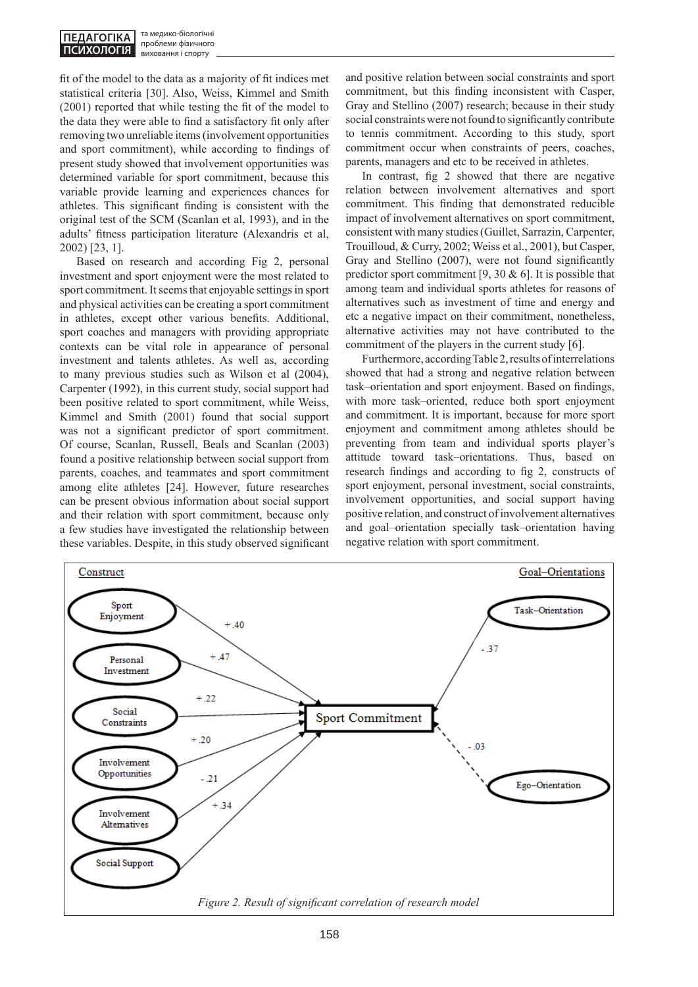fit of the model to the data as a majority of fit indices met statistical criteria [30]. Also, Weiss, Kimmel and Smith (2001) reported that while testing the fit of the model to the data they were able to find a satisfactory fit only after removing two unreliable items (involvement opportunities and sport commitment), while according to findings of present study showed that involvement opportunities was determined variable for sport commitment, because this variable provide learning and experiences chances for athletes. This significant finding is consistent with the original test of the SCM (Scanlan et al, 1993), and in the adults' fitness participation literature (Alexandris et al, 2002) [23, 1].

Based on research and according Fig 2, personal investment and sport enjoyment were the most related to sport commitment. It seems that enjoyable settings in sport and physical activities can be creating a sport commitment in athletes, except other various benefits. Additional, sport coaches and managers with providing appropriate contexts can be vital role in appearance of personal investment and talents athletes. As well as, according to many previous studies such as Wilson et al (2004), Carpenter (1992), in this current study, social support had been positive related to sport commitment, while Weiss, Kimmel and Smith (2001) found that social support was not a significant predictor of sport commitment. Of course, Scanlan, Russell, Beals and Scanlan (2003) found a positive relationship between social support from parents, coaches, and teammates and sport commitment among elite athletes [24]. However, future researches can be present obvious information about social support and their relation with sport commitment, because only a few studies have investigated the relationship between these variables. Despite, in this study observed significant and positive relation between social constraints and sport commitment, but this finding inconsistent with Casper, Gray and Stellino (2007) research; because in their study social constraints were not found to significantly contribute to tennis commitment. According to this study, sport commitment occur when constraints of peers, coaches, parents, managers and etc to be received in athletes.

In contrast, fig 2 showed that there are negative relation between involvement alternatives and sport commitment. This finding that demonstrated reducible impact of involvement alternatives on sport commitment, consistent with many studies (Guillet, Sarrazin, Carpenter, Trouilloud, & Curry, 2002; Weiss et al., 2001), but Casper, Gray and Stellino (2007), were not found significantly predictor sport commitment [9, 30  $\&$  6]. It is possible that among team and individual sports athletes for reasons of alternatives such as investment of time and energy and etc a negative impact on their commitment, nonetheless, alternative activities may not have contributed to the commitment of the players in the current study [6].

Furthermore, according Table 2, results of interrelations showed that had a strong and negative relation between task–orientation and sport enjoyment. Based on findings, with more task–oriented, reduce both sport enjoyment and commitment. It is important, because for more sport enjoyment and commitment among athletes should be preventing from team and individual sports player's attitude toward task–orientations. Thus, based on research findings and according to fig 2, constructs of sport enjoyment, personal investment, social constraints, involvement opportunities, and social support having positive relation, and construct of involvement alternatives and goal–orientation specially task–orientation having negative relation with sport commitment.

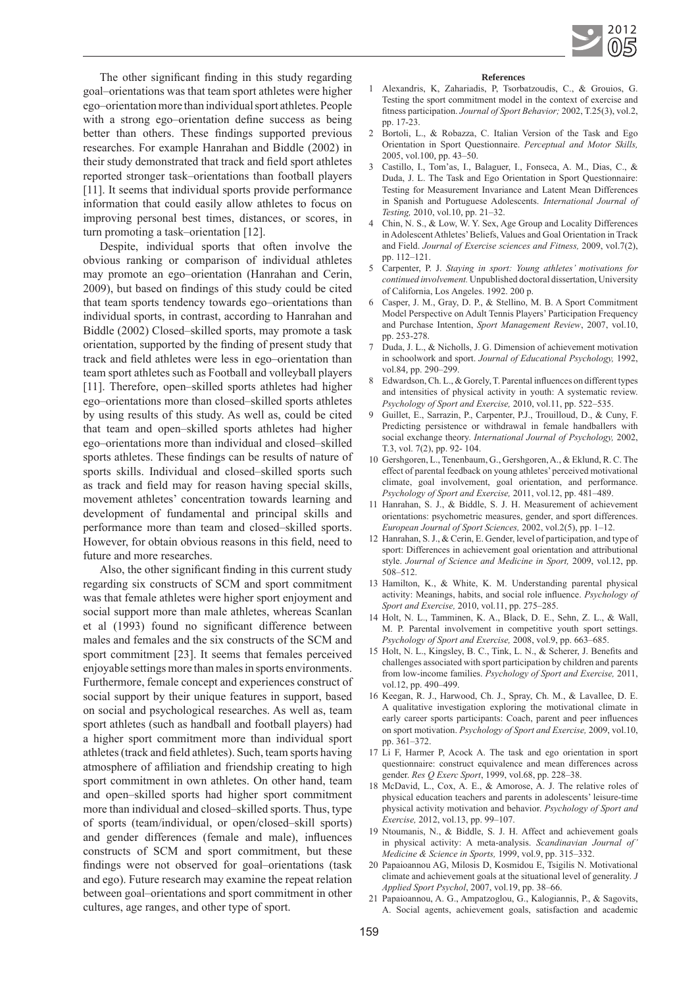

The other significant finding in this study regarding goal–orientations was that team sport athletes were higher ego–orientation more than individual sport athletes. People with a strong ego–orientation define success as being better than others. These findings supported previous researches. For example Hanrahan and Biddle (2002) in their study demonstrated that track and field sport athletes reported stronger task–orientations than football players [11]. It seems that individual sports provide performance information that could easily allow athletes to focus on improving personal best times, distances, or scores, in turn promoting a task–orientation [12].

Despite, individual sports that often involve the obvious ranking or comparison of individual athletes may promote an ego–orientation (Hanrahan and Cerin, 2009), but based on findings of this study could be cited that team sports tendency towards ego–orientations than individual sports, in contrast, according to Hanrahan and Biddle (2002) Closed–skilled sports, may promote a task orientation, supported by the finding of present study that track and field athletes were less in ego–orientation than team sport athletes such as Football and volleyball players [11]. Therefore, open–skilled sports athletes had higher ego–orientations more than closed–skilled sports athletes by using results of this study. As well as, could be cited that team and open–skilled sports athletes had higher ego–orientations more than individual and closed–skilled sports athletes. These findings can be results of nature of sports skills. Individual and closed–skilled sports such as track and field may for reason having special skills, movement athletes' concentration towards learning and development of fundamental and principal skills and performance more than team and closed–skilled sports. However, for obtain obvious reasons in this field, need to future and more researches.

Also, the other significant finding in this current study regarding six constructs of SCM and sport commitment was that female athletes were higher sport enjoyment and social support more than male athletes, whereas Scanlan et al (1993) found no significant difference between males and females and the six constructs of the SCM and sport commitment [23]. It seems that females perceived enjoyable settings more than males in sports environments. Furthermore, female concept and experiences construct of social support by their unique features in support, based on social and psychological researches. As well as, team sport athletes (such as handball and football players) had a higher sport commitment more than individual sport athletes (track and field athletes). Such, team sports having atmosphere of affiliation and friendship creating to high sport commitment in own athletes. On other hand, team and open–skilled sports had higher sport commitment more than individual and closed–skilled sports. Thus, type of sports (team/individual, or open/closed–skill sports) and gender differences (female and male), influences constructs of SCM and sport commitment, but these findings were not observed for goal–orientations (task and ego). Future research may examine the repeat relation between goal–orientations and sport commitment in other cultures, age ranges, and other type of sport.

#### **References**

- 1 Alexandris, K, Zahariadis, P, Tsorbatzoudis, C., & Grouios, G. Testing the sport commitment model in the context of exercise and fitness participation. *Journal of Sport Behavior;* 2002, T.25(3), vol.2, pp. 17-23.
- 2 Bortoli, L., & Robazza, C. Italian Version of the Task and Ego Orientation in Sport Questionnaire. *Perceptual and Motor Skills,*  2005, vol.100*,* pp. 43–50.
- 3 Castillo, I., Tom'as, I., Balaguer, I., Fonseca, A. M., Dias, C., & Duda, J. L. The Task and Ego Orientation in Sport Questionnaire: Testing for Measurement Invariance and Latent Mean Differences in Spanish and Portuguese Adolescents. *International Journal of Testing,* 2010, vol.10*,* pp. 21–32.
- 4 Chin, N. S., & Low, W. Y. Sex, Age Group and Locality Differences in Adolescent Athletes' Beliefs, Values and Goal Orientation in Track and Field. *Journal of Exercise sciences and Fitness,* 2009, vol.7(2), pp. 112–121.
- 5 Carpenter, P. J. *Staying in sport: Young athletes' motivations for continued involvement.* Unpublished doctoral dissertation, University of California, Los Angeles. 1992. 200 p.
- 6 Casper, J. M., Gray, D. P., & Stellino, M. B. A Sport Commitment Model Perspective on Adult Tennis Players' Participation Frequency and Purchase Intention, *Sport Management Review*, 2007, vol.10, pp. 253-278.
- 7 Duda, J. L., & Nicholls, J. G. Dimension of achievement motivation in schoolwork and sport. *Journal of Educational Psychology,* 1992, vol.84*,* pp. 290–299.
- 8 Edwardson, Ch. L., & Gorely, T. Parental influences on different types and intensities of physical activity in youth: A systematic review. *Psychology of Sport and Exercise,* 2010, vol.11, pp. 522–535.
- 9 Guillet, E., Sarrazin, P., Carpenter, P.J., Trouilloud, D., & Cuny, F. Predicting persistence or withdrawal in female handballers with social exchange theory. *International Journal of Psychology,* 2002, T.3, vol. 7(2), pp. 92- 104.
- 10 Gershgoren, L., Tenenbaum, G., Gershgoren, A., & Eklund, R. C. The effect of parental feedback on young athletes' perceived motivational climate, goal involvement, goal orientation, and performance. *Psychology of Sport and Exercise,* 2011, vol.12, pp. 481–489.
- 11 Hanrahan, S. J., & Biddle, S. J. H. Measurement of achievement orientations: psychometric measures, gender, and sport differences. *European Journal of Sport Sciences,* 2002, vol.2(5), pp. 1–12.
- 12 Hanrahan, S. J., & Cerin, E. Gender, level of participation, and type of sport: Differences in achievement goal orientation and attributional style. *Journal of Science and Medicine in Sport,* 2009, vol.12, pp. 508–512.
- 13 Hamilton, K., & White, K. M. Understanding parental physical activity: Meanings, habits, and social role influence. *Psychology of Sport and Exercise,* 2010, vol.11, pp. 275–285.
- 14 Holt, N. L., Tamminen, K. A., Black, D. E., Sehn, Z. L., & Wall, M. P. Parental involvement in competitive youth sport settings. *Psychology of Sport and Exercise,* 2008, vol.9, pp. 663–685.
- 15 Holt, N. L., Kingsley, B. C., Tink, L. N., & Scherer, J. Benefits and challenges associated with sport participation by children and parents from low-income families. *Psychology of Sport and Exercise,* 2011, vol.12, pp. 490–499.
- 16 Keegan, R. J., Harwood, Ch. J., Spray, Ch. M., & Lavallee, D. E. A qualitative investigation exploring the motivational climate in early career sports participants: Coach, parent and peer influences on sport motivation. *Psychology of Sport and Exercise,* 2009, vol.10, pp. 361–372.
- 17 Li F, Harmer P, Acock A. The task and ego orientation in sport questionnaire: construct equivalence and mean differences across gender. *Res Q Exerc Sport*, 1999, vol.68, pp. 228–38.
- 18 McDavid, L., Cox, A. E., & Amorose, A. J. The relative roles of physical education teachers and parents in adolescents' leisure-time physical activity motivation and behavior. *Psychology of Sport and Exercise,* 2012, vol.13, pp. 99–107.
- 19 Ntoumanis, N., & Biddle, S. J. H. Affect and achievement goals in physical activity: A meta-analysis. *Scandinavian Journal of' Medicine & Science in Sports,* 1999, vol.9, pp. 315–332.
- 20 Papaioannou AG, Milosis D, Kosmidou E, Tsigilis N. Motivational climate and achievement goals at the situational level of generality. *J Applied Sport Psychol*, 2007, vol.19, pp. 38–66.
- 21 Papaioannou, A. G., Ampatzoglou, G., Kalogiannis, P., & Sagovits, A. Social agents, achievement goals, satisfaction and academic